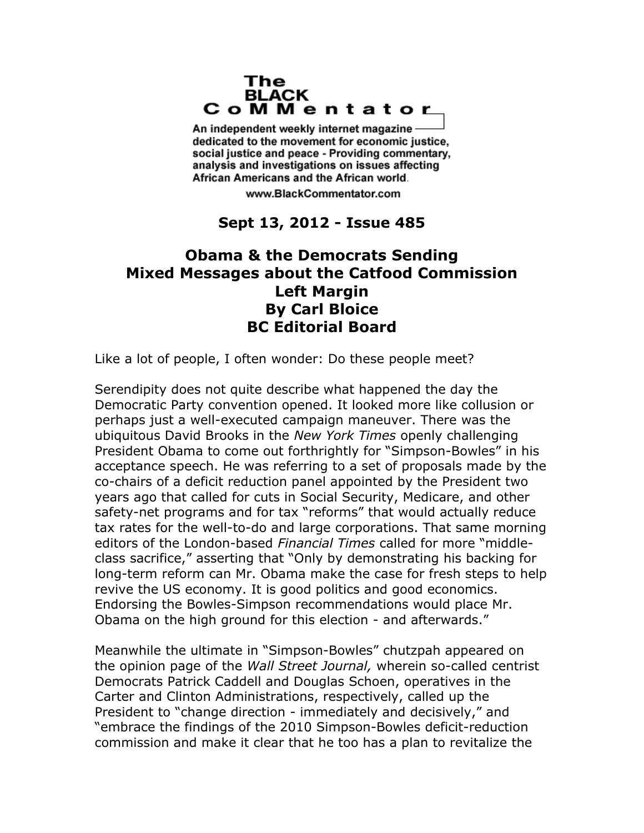## The **BLACK** CoMMentator

An independent weekly internet magazine dedicated to the movement for economic justice. social justice and peace - Providing commentary, analysis and investigations on issues affecting African Americans and the African world.

www.BlackCommentator.com

## **Sept 13, 2012 - Issue 485**

## **Obama & the Democrats Sending Mixed Messages about the Catfood Commission Left Margin By Carl Bloice BC Editorial Board**

Like a lot of people, I often wonder: Do these people meet?

Serendipity does not quite describe what happened the day the Democratic Party convention opened. It looked more like collusion or perhaps just a well-executed campaign maneuver. There was the ubiquitous David Brooks in the *New York Times* openly challenging President Obama to come out forthrightly for "Simpson-Bowles" in his acceptance speech. He was referring to a set of proposals made by the co-chairs of a deficit reduction panel appointed by the President two years ago that called for cuts in Social Security, Medicare, and other safety-net programs and for tax "reforms" that would actually reduce tax rates for the well-to-do and large corporations. That same morning editors of the London-based *Financial Times* called for more "middleclass sacrifice," asserting that "Only by demonstrating his backing for long-term reform can Mr. Obama make the case for fresh steps to help revive the US economy. It is good politics and good economics. Endorsing the Bowles-Simpson recommendations would place Mr. Obama on the high ground for this election - and afterwards."

Meanwhile the ultimate in "Simpson-Bowles" chutzpah appeared on the opinion page of the *Wall Street Journal,* wherein so-called centrist Democrats Patrick Caddell and Douglas Schoen, operatives in the Carter and Clinton Administrations, respectively, called up the President to "change direction - immediately and decisively," and "embrace the findings of the 2010 Simpson-Bowles deficit-reduction commission and make it clear that he too has a plan to revitalize the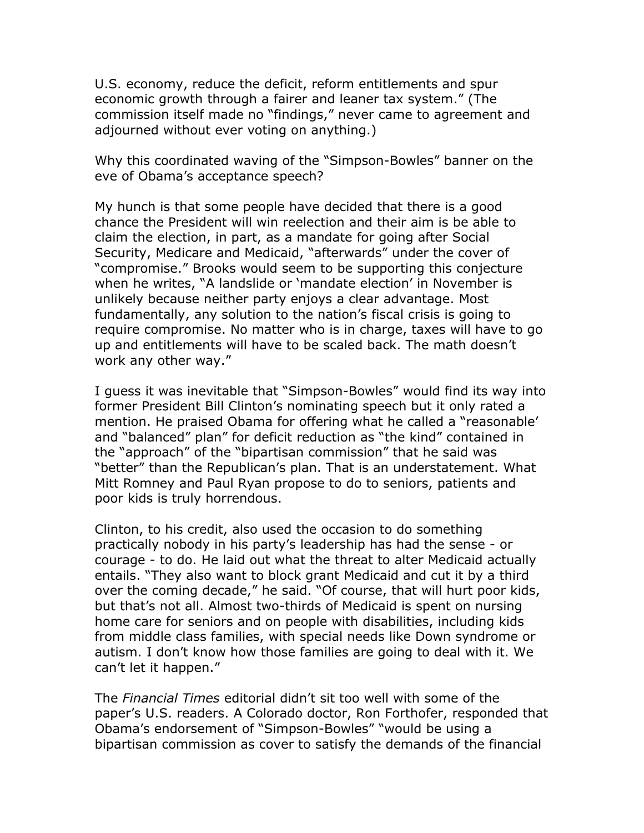U.S. economy, reduce the deficit, reform entitlements and spur economic growth through a fairer and leaner tax system." (The commission itself made no "findings," never came to agreement and adjourned without ever voting on anything.)

Why this coordinated waving of the "Simpson-Bowles" banner on the eve of Obama's acceptance speech?

My hunch is that some people have decided that there is a good chance the President will win reelection and their aim is be able to claim the election, in part, as a mandate for going after Social Security, Medicare and Medicaid, "afterwards" under the cover of "compromise." Brooks would seem to be supporting this conjecture when he writes, "A landslide or 'mandate election' in November is unlikely because neither party enjoys a clear advantage. Most fundamentally, any solution to the nation's fiscal crisis is going to require compromise. No matter who is in charge, taxes will have to go up and entitlements will have to be scaled back. The math doesn't work any other way."

I guess it was inevitable that "Simpson-Bowles" would find its way into former President Bill Clinton's nominating speech but it only rated a mention. He praised Obama for offering what he called a "reasonable' and "balanced" plan" for deficit reduction as "the kind" contained in the "approach" of the "bipartisan commission" that he said was "better" than the Republican's plan. That is an understatement. What Mitt Romney and Paul Ryan propose to do to seniors, patients and poor kids is truly horrendous.

Clinton, to his credit, also used the occasion to do something practically nobody in his party's leadership has had the sense - or courage - to do. He laid out what the threat to alter Medicaid actually entails. "They also want to block grant Medicaid and cut it by a third over the coming decade," he said. "Of course, that will hurt poor kids, but that's not all. Almost two-thirds of Medicaid is spent on nursing home care for seniors and on people with disabilities, including kids from middle class families, with special needs like Down syndrome or autism. I don't know how those families are going to deal with it. We can't let it happen."

The *Financial Times* editorial didn't sit too well with some of the paper's U.S. readers. A Colorado doctor, Ron Forthofer, responded that Obama's endorsement of "Simpson-Bowles" "would be using a bipartisan commission as cover to satisfy the demands of the financial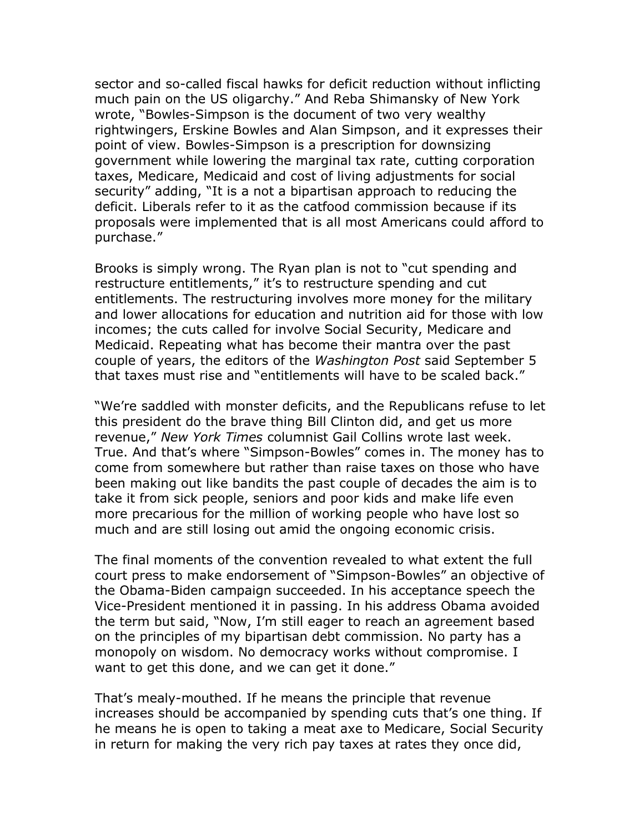sector and so-called fiscal hawks for deficit reduction without inflicting much pain on the US oligarchy." And Reba Shimansky of New York wrote, "Bowles-Simpson is the document of two very wealthy rightwingers, Erskine Bowles and Alan Simpson, and it expresses their point of view. Bowles-Simpson is a prescription for downsizing government while lowering the marginal tax rate, cutting corporation taxes, Medicare, Medicaid and cost of living adjustments for social security" adding, "It is a not a bipartisan approach to reducing the deficit. Liberals refer to it as the catfood commission because if its proposals were implemented that is all most Americans could afford to purchase."

Brooks is simply wrong. The Ryan plan is not to "cut spending and restructure entitlements," it's to restructure spending and cut entitlements. The restructuring involves more money for the military and lower allocations for education and nutrition aid for those with low incomes; the cuts called for involve Social Security, Medicare and Medicaid. Repeating what has become their mantra over the past couple of years, the editors of the *Washington Post* said September 5 that taxes must rise and "entitlements will have to be scaled back."

"We're saddled with monster deficits, and the Republicans refuse to let this president do the brave thing Bill Clinton did, and get us more revenue," *New York Times* columnist Gail Collins wrote last week. True. And that's where "Simpson-Bowles" comes in. The money has to come from somewhere but rather than raise taxes on those who have been making out like bandits the past couple of decades the aim is to take it from sick people, seniors and poor kids and make life even more precarious for the million of working people who have lost so much and are still losing out amid the ongoing economic crisis.

The final moments of the convention revealed to what extent the full court press to make endorsement of "Simpson-Bowles" an objective of the Obama-Biden campaign succeeded. In his acceptance speech the Vice-President mentioned it in passing. In his address Obama avoided the term but said, "Now, I'm still eager to reach an agreement based on the principles of my bipartisan debt commission. No party has a monopoly on wisdom. No democracy works without compromise. I want to get this done, and we can get it done."

That's mealy-mouthed. If he means the principle that revenue increases should be accompanied by spending cuts that's one thing. If he means he is open to taking a meat axe to Medicare, Social Security in return for making the very rich pay taxes at rates they once did,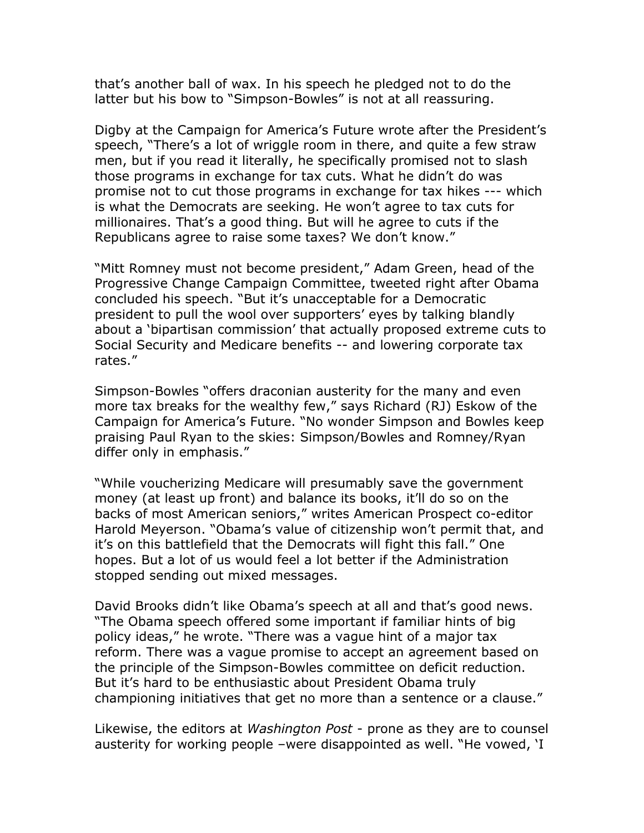that's another ball of wax. In his speech he pledged not to do the latter but his bow to "Simpson-Bowles" is not at all reassuring.

Digby at the Campaign for America's Future wrote after the President's speech, "There's a lot of wriggle room in there, and quite a few straw men, but if you read it literally, he specifically promised not to slash those programs in exchange for tax cuts. What he didn't do was promise not to cut those programs in exchange for tax hikes --- which is what the Democrats are seeking. He won't agree to tax cuts for millionaires. That's a good thing. But will he agree to cuts if the Republicans agree to raise some taxes? We don't know."

"Mitt Romney must not become president," Adam Green, head of the Progressive Change Campaign Committee, tweeted right after Obama concluded his speech. "But it's unacceptable for a Democratic president to pull the wool over supporters' eyes by talking blandly about a 'bipartisan commission' that actually proposed extreme cuts to Social Security and Medicare benefits -- and lowering corporate tax rates."

Simpson-Bowles "offers draconian austerity for the many and even more tax breaks for the wealthy few," says Richard  $(RJ)$  Eskow of the Campaign for America's Future. "No wonder Simpson and Bowles keep praising Paul Ryan to the skies: Simpson/Bowles and Romney/Ryan differ only in emphasis."

"While voucherizing Medicare will presumably save the government money (at least up front) and balance its books, it'll do so on the backs of most American seniors," writes American Prospect co-editor Harold Meyerson. "Obama's value of citizenship won't permit that, and it's on this battlefield that the Democrats will fight this fall." One hopes. But a lot of us would feel a lot better if the Administration stopped sending out mixed messages.

David Brooks didn't like Obama's speech at all and that's good news. "The Obama speech offered some important if familiar hints of big policy ideas," he wrote. "There was a vague hint of a major tax reform. There was a vague promise to accept an agreement based on the principle of the Simpson-Bowles committee on deficit reduction. But it's hard to be enthusiastic about President Obama truly championing initiatives that get no more than a sentence or a clause."

Likewise, the editors at *Washington Post* - prone as they are to counsel austerity for working people –were disappointed as well. "He vowed, 'I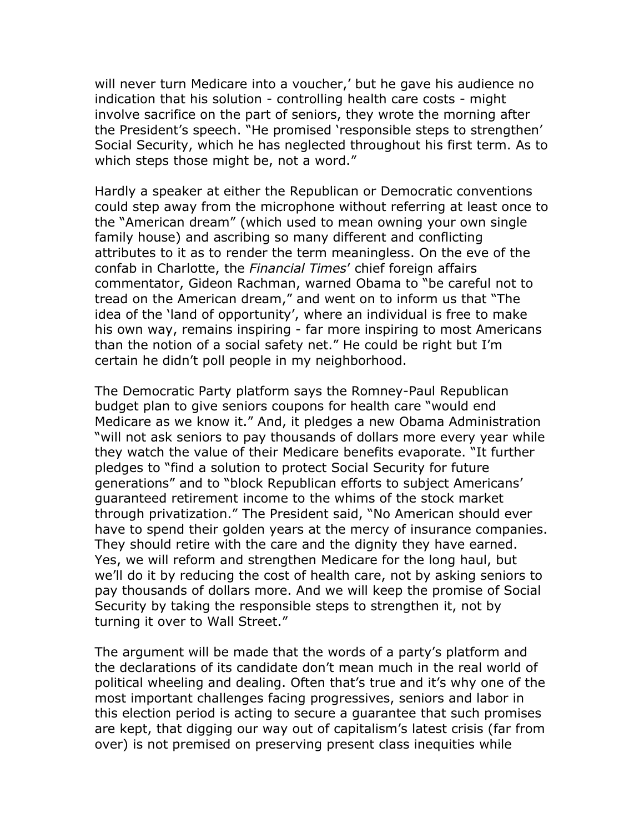will never turn Medicare into a voucher,' but he gave his audience no indication that his solution - controlling health care costs - might involve sacrifice on the part of seniors, they wrote the morning after the President's speech. "He promised 'responsible steps to strengthen' Social Security, which he has neglected throughout his first term. As to which steps those might be, not a word."

Hardly a speaker at either the Republican or Democratic conventions could step away from the microphone without referring at least once to the "American dream" (which used to mean owning your own single family house) and ascribing so many different and conflicting attributes to it as to render the term meaningless. On the eve of the confab in Charlotte, the *Financial Times*' chief foreign affairs commentator, Gideon Rachman, warned Obama to "be careful not to tread on the American dream," and went on to inform us that "The idea of the 'land of opportunity', where an individual is free to make his own way, remains inspiring - far more inspiring to most Americans than the notion of a social safety net." He could be right but I'm certain he didn't poll people in my neighborhood.

The Democratic Party platform says the Romney-Paul Republican budget plan to give seniors coupons for health care "would end Medicare as we know it." And, it pledges a new Obama Administration "will not ask seniors to pay thousands of dollars more every year while they watch the value of their Medicare benefits evaporate. "It further pledges to "find a solution to protect Social Security for future generations" and to "block Republican efforts to subject Americans' guaranteed retirement income to the whims of the stock market through privatization." The President said, "No American should ever have to spend their golden years at the mercy of insurance companies. They should retire with the care and the dignity they have earned. Yes, we will reform and strengthen Medicare for the long haul, but we'll do it by reducing the cost of health care, not by asking seniors to pay thousands of dollars more. And we will keep the promise of Social Security by taking the responsible steps to strengthen it, not by turning it over to Wall Street."

The argument will be made that the words of a party's platform and the declarations of its candidate don't mean much in the real world of political wheeling and dealing. Often that's true and it's why one of the most important challenges facing progressives, seniors and labor in this election period is acting to secure a guarantee that such promises are kept, that digging our way out of capitalism's latest crisis (far from over) is not premised on preserving present class inequities while